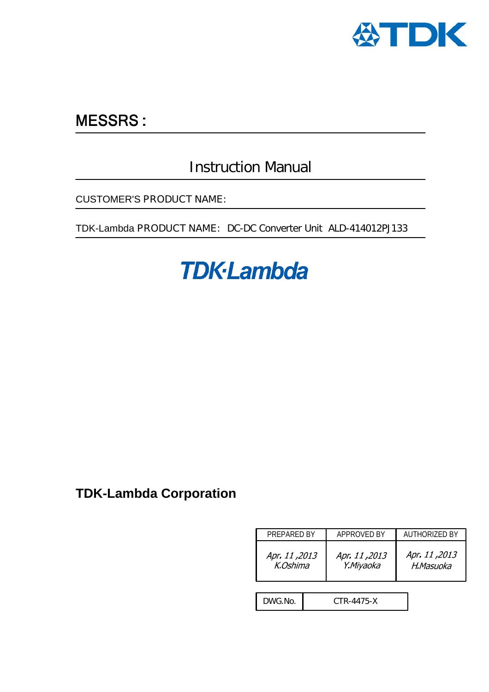

## **MESSRS:**

## Instruction Manual

CUSTOMER'S PRODUCT NAME:

TDK-Lambda PRODUCT NAME: DC-DC Converter Unit ALD-414012PJ133

# **TDK-Lambda**

## **TDK-Lambda Corporation**

| PREPARED BY               |            | APPROVED BY                | AUTHORIZED BY             |  |
|---------------------------|------------|----------------------------|---------------------------|--|
| Apr. 11, 2013<br>K.Oshima |            | Apr. 11, 2013<br>Y.Miyaoka | Apr. 11,2013<br>H.Masuoka |  |
|                           |            |                            |                           |  |
| DWG.No.                   | CTR-4475-X |                            |                           |  |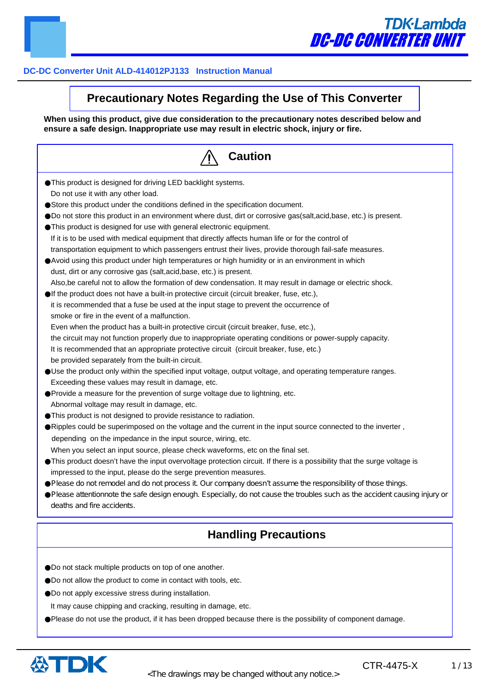

### **Precautionary Notes Regarding the Use of This Converter**

**When using this product, give due consideration to the precautionary notes described below and ensure a safe design. Inappropriate use may result in electric shock, injury or fire.**

| <b>Caution</b>                                                                                                            |  |  |  |  |
|---------------------------------------------------------------------------------------------------------------------------|--|--|--|--|
| This product is designed for driving LED backlight systems.                                                               |  |  |  |  |
| Do not use it with any other load.                                                                                        |  |  |  |  |
| Store this product under the conditions defined in the specification document.                                            |  |  |  |  |
| Do not store this product in an environment where dust, dirt or corrosive gas(salt,acid,base, etc.) is present.           |  |  |  |  |
| This product is designed for use with general electronic equipment.                                                       |  |  |  |  |
| If it is to be used with medical equipment that directly affects human life or for the control of                         |  |  |  |  |
| transportation equipment to which passengers entrust their lives, provide thorough fail-safe measures.                    |  |  |  |  |
| Avoid using this product under high temperatures or high humidity or in an environment in which                           |  |  |  |  |
| dust, dirt or any corrosive gas (salt, acid, base, etc.) is present.                                                      |  |  |  |  |
| Also, be careful not to allow the formation of dew condensation. It may result in damage or electric shock.               |  |  |  |  |
| If the product does not have a built-in protective circuit (circuit breaker, fuse, etc.),                                 |  |  |  |  |
| it is recommended that a fuse be used at the input stage to prevent the occurrence of                                     |  |  |  |  |
| smoke or fire in the event of a malfunction.                                                                              |  |  |  |  |
| Even when the product has a built-in protective circuit (circuit breaker, fuse, etc.),                                    |  |  |  |  |
| the circuit may not function properly due to inappropriate operating conditions or power-supply capacity.                 |  |  |  |  |
| It is recommended that an appropriate protective circuit (circuit breaker, fuse, etc.)                                    |  |  |  |  |
| be provided separately from the built-in circuit.                                                                         |  |  |  |  |
| Use the product only within the specified input voltage, output voltage, and operating temperature ranges.                |  |  |  |  |
| Exceeding these values may result in damage, etc.                                                                         |  |  |  |  |
| Provide a measure for the prevention of surge voltage due to lightning, etc.                                              |  |  |  |  |
| Abnormal voltage may result in damage, etc.                                                                               |  |  |  |  |
| This product is not designed to provide resistance to radiation.                                                          |  |  |  |  |
| Ripples could be superimposed on the voltage and the current in the input source connected to the inverter,               |  |  |  |  |
| depending on the impedance in the input source, wiring, etc.                                                              |  |  |  |  |
| When you select an input source, please check waveforms, etc on the final set.                                            |  |  |  |  |
| This product doesn't have the input overvoltage protection circuit. If there is a possibility that the surge voltage is   |  |  |  |  |
| impressed to the input, please do the serge prevention measures.                                                          |  |  |  |  |
| Please do not remodel and do not process it Our company doesn't assume the responsibility of those things.                |  |  |  |  |
| Please attentionnote the safe design enough. Especially, do not cause the troubles such as the accident causing injury or |  |  |  |  |
| deaths and fire accidents.                                                                                                |  |  |  |  |
| <b>Handling Precautions</b>                                                                                               |  |  |  |  |
|                                                                                                                           |  |  |  |  |
| Do not stack multiple products on top of one another.                                                                     |  |  |  |  |
| Do not allow the product to come in contact with tools, etc.                                                              |  |  |  |  |
| Do not apply excessive stress during installation.                                                                        |  |  |  |  |
| It may cause chipping and cracking, resulting in damage, etc.                                                             |  |  |  |  |
|                                                                                                                           |  |  |  |  |
| Please do not use the product, if it has been dropped because there is the possibility of component damage.               |  |  |  |  |



CTR-4475-X 1/13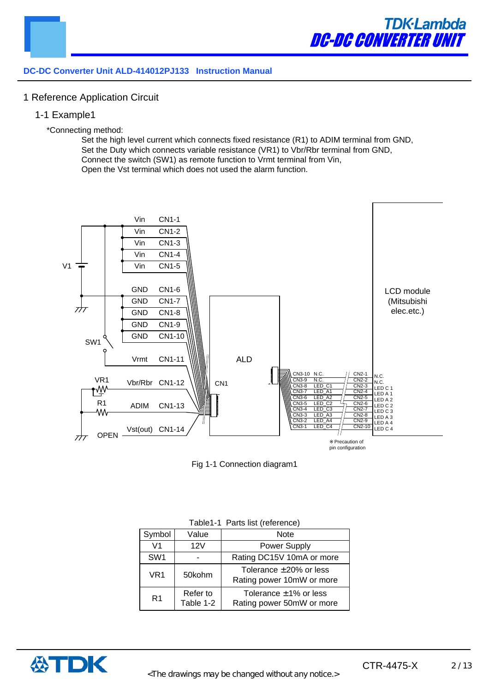

#### 1 Reference Application Circuit

1-1 Example1

#### \*Connecting method:

Set the high level current which connects fixed resistance (R1) to ADIM terminal from GND, Set the Duty which connects variable resistance (VR1) to Vbr/Rbr terminal from GND, Connect the switch (SW1) as remote function to Vrmt terminal from Vin, Open the Vst terminal which does not used the alarm function.



Fig 1-1 Connection diagram1

| Symbol          | Value                 | <b>Note</b>                                               |
|-----------------|-----------------------|-----------------------------------------------------------|
| V <sub>1</sub>  | 12V                   | Power Supply                                              |
| SW <sub>1</sub> |                       | Rating DC15V 10mA or more                                 |
| VR1             | 50kohm                | Tolerance $\pm 20\%$ or less<br>Rating power 10mW or more |
| R <sub>1</sub>  | Refer to<br>Table 1-2 | Tolerance $\pm$ 1% or less<br>Rating power 50mW or more   |

Table1-1 Parts list (reference)

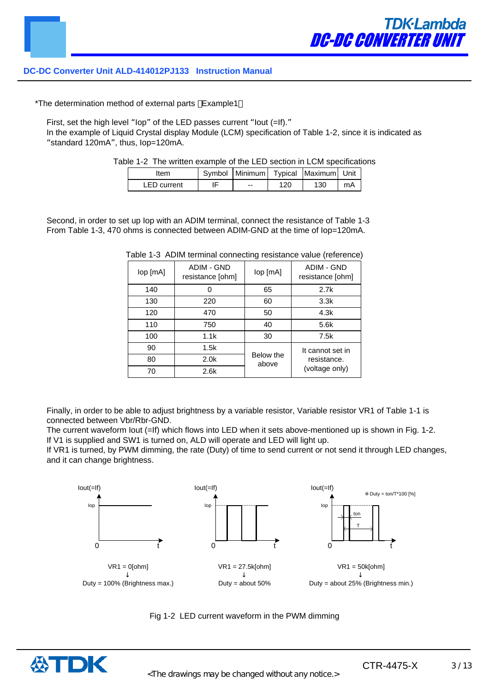\*The determination method of external parts Example1

First, set the high level "lop" of the LED passes current "lout (=If)."

In the example of Liquid Crystal display Module (LCM) specification of Table 1-2, since it is indicated as "standard 120mA", thus, Iop=120mA.

Table 1-2 The written example of the LED section in LCM specifications

| 'tem               | Symbol   Minimum   Typical   Maximum   Unit |     |     |    |
|--------------------|---------------------------------------------|-----|-----|----|
| <b>LED</b> current | $- -$                                       | 120 | 130 | mA |

Second, in order to set up Iop with an ADIM terminal, connect the resistance of Table 1-3 From Table 1-3, 470 ohms is connected between ADIM-GND at the time of Iop=120mA.

|              |                                | ີ                  |                                |
|--------------|--------------------------------|--------------------|--------------------------------|
| $lop$ $[mA]$ | ADIM - GND<br>resistance [ohm] | lop [mA]           | ADIM - GND<br>resistance [ohm] |
| 140          |                                | 65                 | 2.7k                           |
| 130          | 220                            | 60                 | 3.3k                           |
| 120          | 470                            | 50                 | 4.3k                           |
| 110          | 750                            | 40                 | 5.6k                           |
| 100          | 1.1k                           | 30                 | 7.5k                           |
| 90           | 1.5k                           |                    | It cannot set in               |
| 80           | 2.0 <sub>k</sub>               | Below the<br>above | resistance.                    |
| 70           | 2.6k                           |                    | (voltage only)                 |

Table 1-3 ADIM terminal connecting resistance value (reference)

Finally, in order to be able to adjust brightness by a variable resistor, Variable resistor VR1 of Table 1-1 is connected between Vbr/Rbr-GND.

The current waveform lout (=If) which flows into LED when it sets above-mentioned up is shown in Fig. 1-2. If V1 is supplied and SW1 is turned on, ALD will operate and LED will light up.

If VR1 is turned, by PWM dimming, the rate (Duty) of time to send current or not send it through LED changes, and it can change brightness.





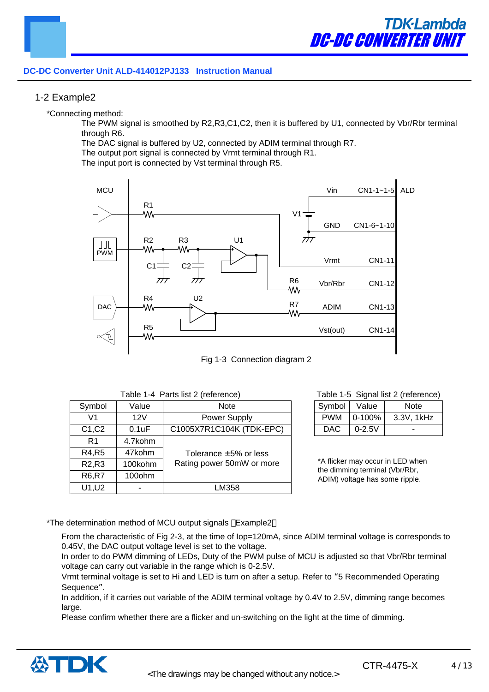#### 1-2 Example2

\*Connecting method:

The PWM signal is smoothed by R2,R3,C1,C2, then it is buffered by U1, connected by Vbr/Rbr terminal through R6.

The DAC signal is buffered by U2, connected by ADIM terminal through R7.

The output port signal is connected by Vrmt terminal through R1.

The input port is connected by Vst terminal through R5.





| Symbol                         | Value   | <b>Note</b>                 |
|--------------------------------|---------|-----------------------------|
| V1                             | 12V     | <b>Power Supply</b>         |
| C1, C2                         | 0.1uF   | C1005X7R1C104K (TDK-EPC)    |
| R <sub>1</sub>                 | 4.7kohm |                             |
| R4, R5                         | 47kohm  | Tolerance $\pm 5\%$ or less |
| R <sub>2</sub> ,R <sub>3</sub> | 100kohm | Rating power 50mW or more   |
| <b>R6,R7</b>                   | 100ohm  |                             |
| U1, U2                         |         | LM358                       |

#### Table 1-5 Signal list 2 (reference)

| Symbol     | Value      | Note       |
|------------|------------|------------|
| <b>PWM</b> | $0-100%$   | 3.3V, 1kHz |
| DAC.       | $0 - 2.5V$ |            |

\*A flicker may occur in LED when the dimming terminal (Vbr/Rbr, ADIM) voltage has some ripple.

\*The determination method of MCU output signals Example2

From the characteristic of Fig 2-3, at the time of lop=120mA, since ADIM terminal voltage is corresponds to 0.45V, the DAC output voltage level is set to the voltage.

In order to do PWM dimming of LEDs, Duty of the PWM pulse of MCU is adjusted so that Vbr/Rbr terminal voltage can carry out variable in the range which is 0-2.5V.

Vrmt terminal voltage is set to Hi and LED is turn on after a setup. Refer to "5 Recommended Operating Sequence".

In addition, if it carries out variable of the ADIM terminal voltage by 0.4V to 2.5V, dimming range becomes large.

Please confirm whether there are a flicker and un-switching on the light at the time of dimming.

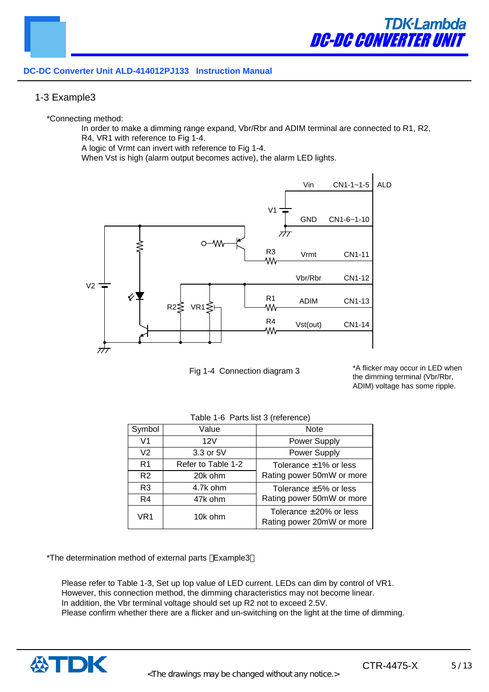#### 1-3 Example3

\*Connecting method:

In order to make a dimming range expand, Vbr/Rbr and ADIM terminal are connected to R1, R2, R4, VR1 with reference to Fig 1-4.

A logic of Vrmt can invert with reference to Fig 1-4.

When Vst is high (alarm output becomes active), the alarm LED lights.



Fig 1-4 Connection diagram 3

\*A flicker may occur in LED when the dimming terminal (Vbr/Rbr, ADIM) voltage has some ripple.

| Symbol         | Value              | <b>Note</b>                                               |
|----------------|--------------------|-----------------------------------------------------------|
| V1             | 12V                | Power Supply                                              |
| V <sub>2</sub> | 3.3 or 5V          | Power Supply                                              |
| R <sub>1</sub> | Refer to Table 1-2 | Tolerance $\pm 1\%$ or less                               |
| R <sub>2</sub> | 20k ohm            | Rating power 50mW or more                                 |
| R <sub>3</sub> | 4.7k ohm           | Tolerance $\pm 5\%$ or less                               |
| R <sub>4</sub> | 47k ohm            | Rating power 50mW or more                                 |
| VR1            | 10k ohm            | Tolerance $\pm 20\%$ or less<br>Rating power 20mW or more |

Table 1-6 Parts list 3 (reference)

\*The determination method of external parts Example3

Please refer to Table 1-3, Set up Iop value of LED current. LEDs can dim by control of VR1. However, this connection method, the dimming characteristics may not become linear. In addition, the Vbr terminal voltage should set up R2 not to exceed 2.5V. Please confirm whether there are a flicker and un-switching on the light at the time of dimming.

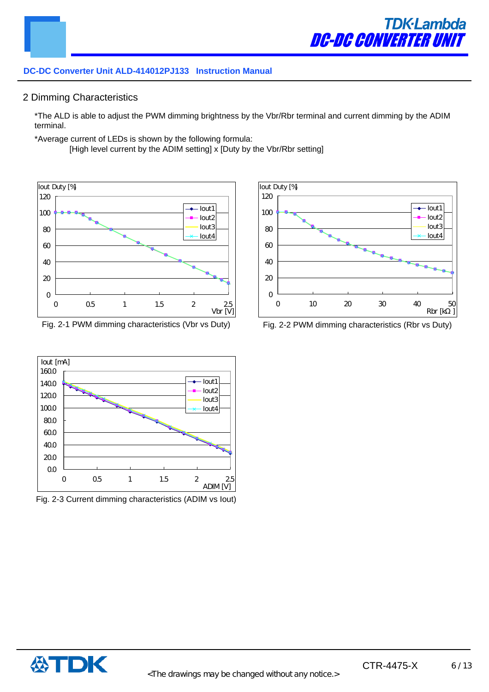#### 2 Dimming Characteristics

\*The ALD is able to adjust the PWM dimming brightness by the Vbr/Rbr terminal and current dimming by the ADIM terminal.

\*Average current of LEDs is shown by the following formula:

[High level current by the ADIM setting] x [Duty by the Vbr/Rbr setting]



Fig. 2-1 PWM dimming characteristics (Vbr vs Duty) Fig. 2-2 PWM dimming characteristics (Rbr vs Duty)



Fig. 2-3 Current dimming characteristics (ADIM vs Iout)



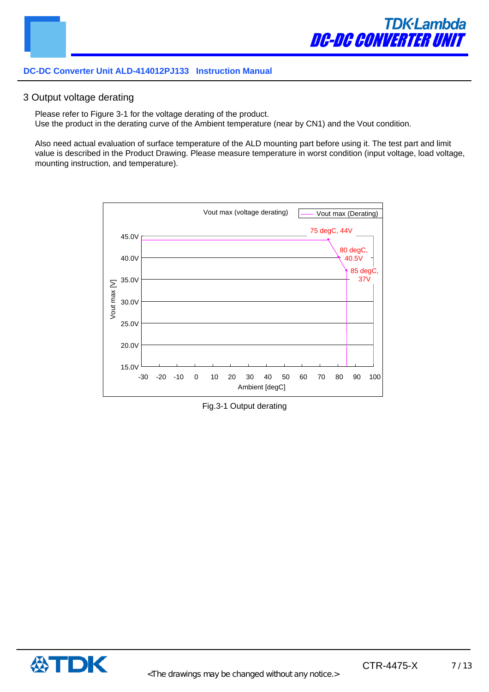#### 3 Output voltage derating

Please refer to Figure 3-1 for the voltage derating of the product. Use the product in the derating curve of the Ambient temperature (near by CN1) and the Vout condition.

Also need actual evaluation of surface temperature of the ALD mounting part before using it. The test part and limit value is described in the Product Drawing. Please measure temperature in worst condition (input voltage, load voltage, mounting instruction, and temperature).



Fig.3-1 Output derating

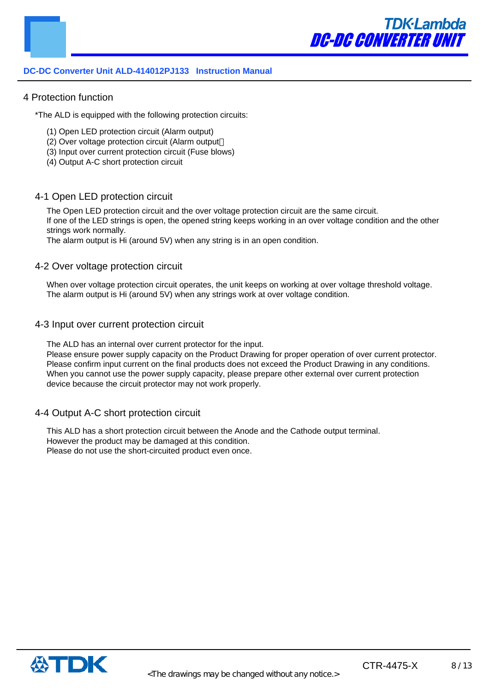#### 4 Protection function

\*The ALD is equipped with the following protection circuits:

- (1) Open LED protection circuit (Alarm output)
- (2) Over voltage protection circuit (Alarm output
- (3) Input over current protection circuit (Fuse blows)
- (4) Output A-C short protection circuit

#### 4-1 Open LED protection circuit

The Open LED protection circuit and the over voltage protection circuit are the same circuit. If one of the LED strings is open, the opened string keeps working in an over voltage condition and the other strings work normally.

The alarm output is Hi (around 5V) when any string is in an open condition.

#### 4-2 Over voltage protection circuit

When over voltage protection circuit operates, the unit keeps on working at over voltage threshold voltage. The alarm output is Hi (around 5V) when any strings work at over voltage condition.

#### 4-3 Input over current protection circuit

The ALD has an internal over current protector for the input.

Please ensure power supply capacity on the Product Drawing for proper operation of over current protector. Please confirm input current on the final products does not exceed the Product Drawing in any conditions. When you cannot use the power supply capacity, please prepare other external over current protection device because the circuit protector may not work properly.

#### 4-4 Output A-C short protection circuit

This ALD has a short protection circuit between the Anode and the Cathode output terminal. However the product may be damaged at this condition. Please do not use the short-circuited product even once.

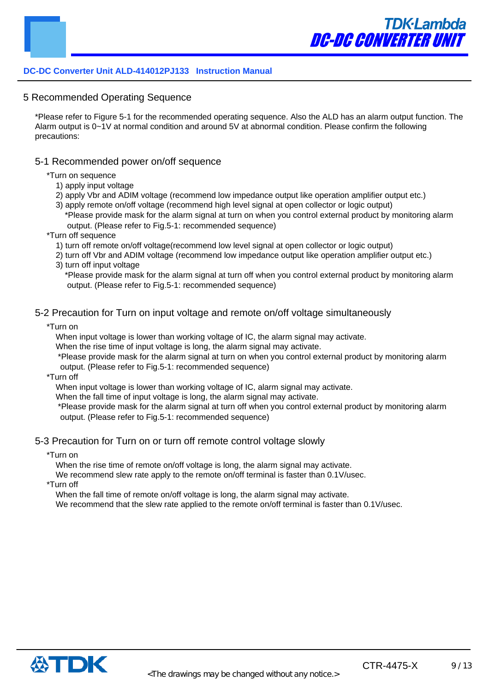5 Recommended Operating Sequence

\*Please refer to Figure 5-1 for the recommended operating sequence. Also the ALD has an alarm output function. The Alarm output is 0~1V at normal condition and around 5V at abnormal condition. Please confirm the following precautions:

#### 5-1 Recommended power on/off sequence

\*Turn on sequence

- 1) apply input voltage
- 2) apply Vbr and ADIM voltage (recommend low impedance output like operation amplifier output etc.)
- 3) apply remote on/off voltage (recommend high level signal at open collector or logic output) \*Please provide mask for the alarm signal at turn on when you control external product by monitoring alarm output. (Please refer to Fig.5-1: recommended sequence)
- \*Turn off sequence
	- 1) turn off remote on/off voltage(recommend low level signal at open collector or logic output)
	- 2) turn off Vbr and ADIM voltage (recommend low impedance output like operation amplifier output etc.) 3) turn off input voltage
		- \*Please provide mask for the alarm signal at turn off when you control external product by monitoring alarm output. (Please refer to Fig.5-1: recommended sequence)

#### 5-2 Precaution for Turn on input voltage and remote on/off voltage simultaneously

\*Turn on

When input voltage is lower than working voltage of IC, the alarm signal may activate.

When the rise time of input voltage is long, the alarm signal may activate.

\*Please provide mask for the alarm signal at turn on when you control external product by monitoring alarm output. (Please refer to Fig.5-1: recommended sequence)

\*Turn off

When input voltage is lower than working voltage of IC, alarm signal may activate.

When the fall time of input voltage is long, the alarm signal may activate.

\*Please provide mask for the alarm signal at turn off when you control external product by monitoring alarm output. (Please refer to Fig.5-1: recommended sequence)

#### 5-3 Precaution for Turn on or turn off remote control voltage slowly

\*Turn on

When the rise time of remote on/off voltage is long, the alarm signal may activate.

We recommend slew rate apply to the remote on/off terminal is faster than 0.1V/usec.

\*Turn off

When the fall time of remote on/off voltage is long, the alarm signal may activate.

We recommend that the slew rate applied to the remote on/off terminal is faster than 0.1V/usec.

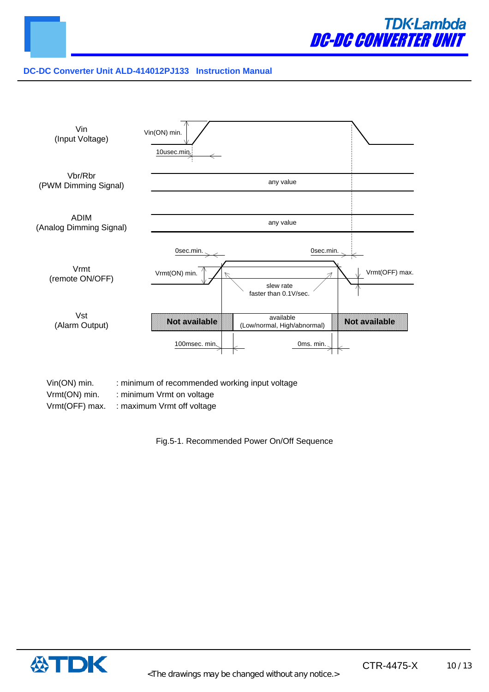



Vrmt(ON) min. : minimum Vrmt on voltage

Vrmt(OFF) max. : maximum Vrmt off voltage

Fig.5-1. Recommended Power On/Off Sequence

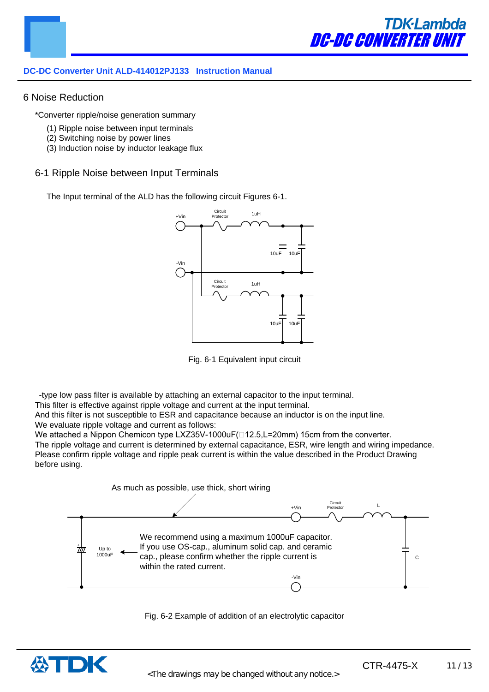

#### 6 Noise Reduction

\*Converter ripple/noise generation summary

- (1) Ripple noise between input terminals
- (2) Switching noise by power lines
- (3) Induction noise by inductor leakage flux

#### 6-1 Ripple Noise between Input Terminals

The Input terminal of the ALD has the following circuit Figures 6-1.



Fig. 6-1 Equivalent input circuit

-type low pass filter is available by attaching an external capacitor to the input terminal.

This filter is effective against ripple voltage and current at the input terminal.

And this filter is not susceptible to ESR and capacitance because an inductor is on the input line. We evaluate ripple voltage and current as follows:

We attached a Nippon Chemicon type LXZ35V-1000uF( $\Box$ 12.5,L=20mm) 15cm from the converter. The ripple voltage and current is determined by external capacitance, ESR, wire length and wiring impedance. Please confirm ripple voltage and ripple peak current is within the value described in the Product Drawing before using.





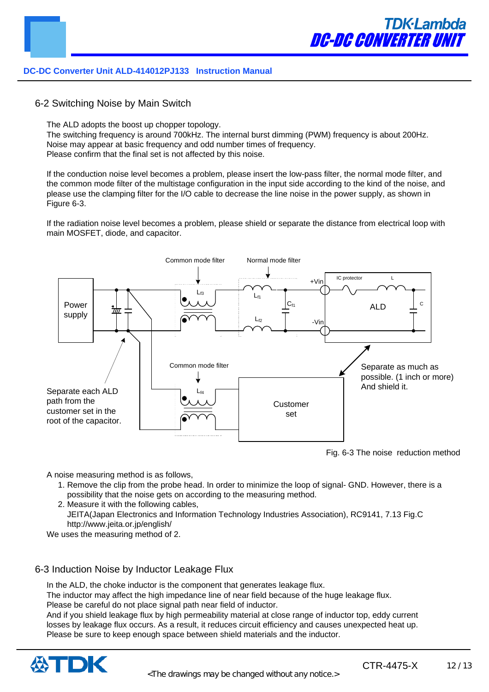

6-2 Switching Noise by Main Switch

The ALD adopts the boost up chopper topology.

The switching frequency is around 700kHz. The internal burst dimming (PWM) frequency is about 200Hz. Noise may appear at basic frequency and odd number times of frequency. Please confirm that the final set is not affected by this noise.

If the conduction noise level becomes a problem, please insert the low-pass filter, the normal mode filter, and the common mode filter of the multistage configuration in the input side according to the kind of the noise, and please use the clamping filter for the I/O cable to decrease the line noise in the power supply, as shown in Figure 6-3.

If the radiation noise level becomes a problem, please shield or separate the distance from electrical loop with main MOSFET, diode, and capacitor.



Fig. 6-3 The noise reduction method

A noise measuring method is as follows,

- 1. Remove the clip from the probe head. In order to minimize the loop of signal- GND. However, there is a possibility that the noise gets on according to the measuring method.
- 2. Measure it with the following cables, JEITA(Japan Electronics and Information Technology Industries Association), RC9141, 7.13 Fig.C http://www.jeita.or.jp/english/

We uses the measuring method of 2.

#### 6-3 Induction Noise by Inductor Leakage Flux

In the ALD, the choke inductor is the component that generates leakage flux.

The inductor may affect the high impedance line of near field because of the huge leakage flux. Please be careful do not place signal path near field of inductor.

And if you shield leakage flux by high permeability material at close range of inductor top, eddy current losses by leakage flux occurs. As a result, it reduces circuit efficiency and causes unexpected heat up. Please be sure to keep enough space between shield materials and the inductor.